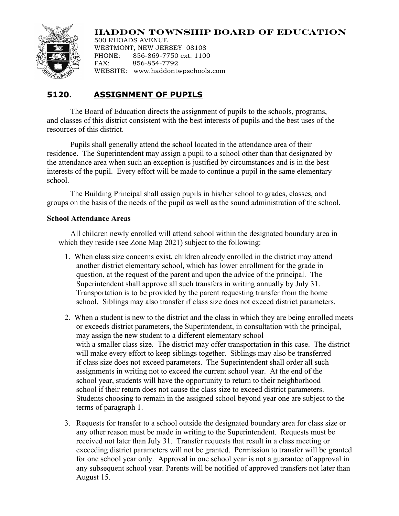## **HADDON TOWNSHIP BOARD OF EDUCATION**



500 RHOADS AVENUE WESTMONT, NEW JERSEY 08108<br>PHONE: 856-869-7750 ext. 110 856-869-7750 ext. 1100 FAX: 856-854-7792 WEBSITE: www.haddontwpschools.com

## **5120. ASSIGNMENT OF PUPILS**

The Board of Education directs the assignment of pupils to the schools, programs, and classes of this district consistent with the best interests of pupils and the best uses of the resources of this district.

Pupils shall generally attend the school located in the attendance area of their residence. The Superintendent may assign a pupil to a school other than that designated by the attendance area when such an exception is justified by circumstances and is in the best interests of the pupil. Every effort will be made to continue a pupil in the same elementary school.

The Building Principal shall assign pupils in his/her school to grades, classes, and groups on the basis of the needs of the pupil as well as the sound administration of the school.

## **School Attendance Areas**

All children newly enrolled will attend school within the designated boundary area in which they reside (see Zone Map 2021) subject to the following:

- 1. When class size concerns exist, children already enrolled in the district may attend another district elementary school, which has lower enrollment for the grade in question, at the request of the parent and upon the advice of the principal. The Superintendent shall approve all such transfers in writing annually by July 31. Transportation is to be provided by the parent requesting transfer from the home school. Siblings may also transfer if class size does not exceed district parameters.
- 2. When a student is new to the district and the class in which they are being enrolled meets or exceeds district parameters, the Superintendent, in consultation with the principal, may assign the new student to a different elementary school with a smaller class size. The district may offer transportation in this case. The district will make every effort to keep siblings together. Siblings may also be transferred if class size does not exceed parameters. The Superintendent shall order all such assignments in writing not to exceed the current school year. At the end of the school year, students will have the opportunity to return to their neighborhood school if their return does not cause the class size to exceed district parameters. Students choosing to remain in the assigned school beyond year one are subject to the terms of paragraph 1.
- 3. Requests for transfer to a school outside the designated boundary area for class size or any other reason must be made in writing to the Superintendent. Requests must be received not later than July 31. Transfer requests that result in a class meeting or exceeding district parameters will not be granted. Permission to transfer will be granted for one school year only. Approval in one school year is not a guarantee of approval in any subsequent school year. Parents will be notified of approved transfers not later than August 15.